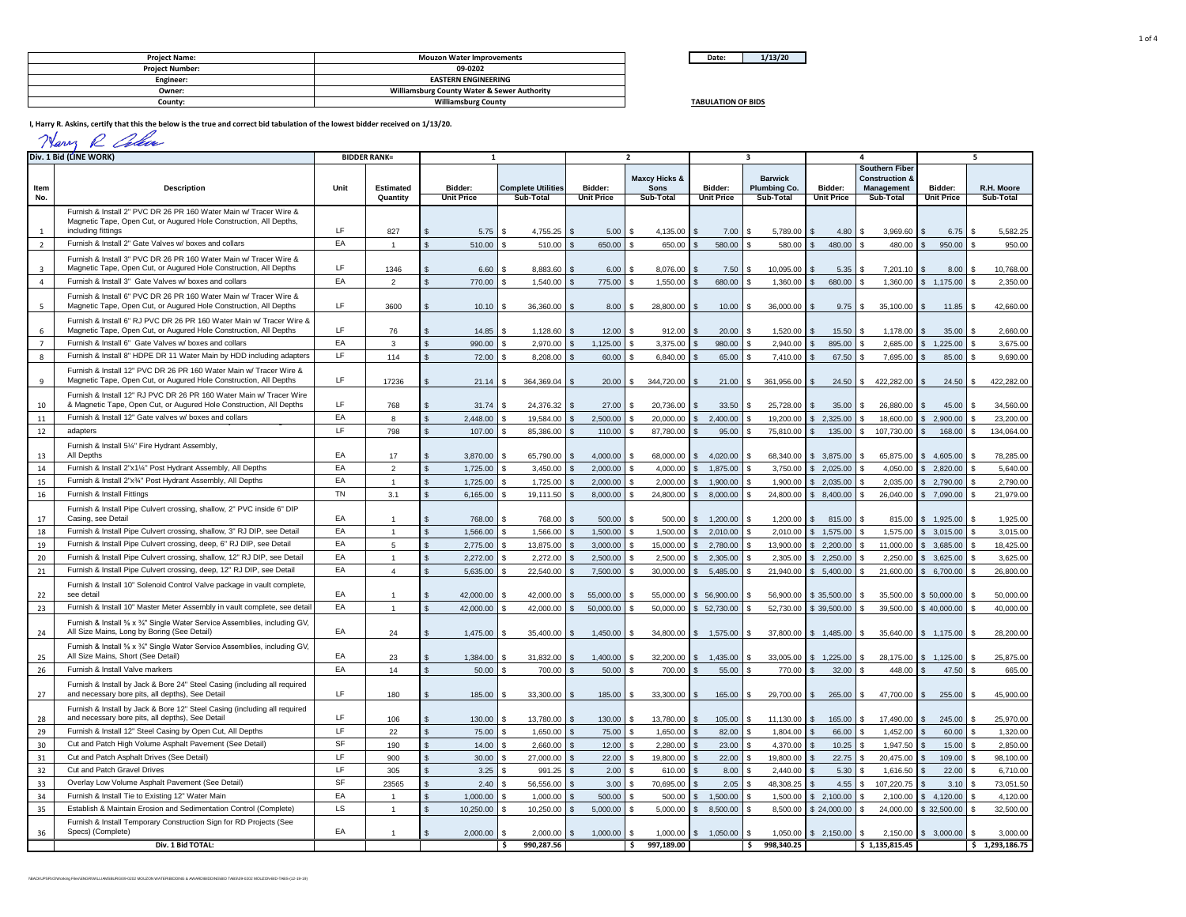| Date:<br>$-$ | 3/20 |
|--------------|------|

**TABULATION OF BIDS**

| <b>Project Name:</b>   | <b>Mouzon Water Improvements</b>                       |
|------------------------|--------------------------------------------------------|
| <b>Project Number:</b> | 09-0202                                                |
| Engineer:              | <b>EASTERN ENGINEERING</b>                             |
| Owner:                 | <b>Williamsburg County Water &amp; Sewer Authority</b> |
| Countv:                | <b>Williamsburg County</b>                             |

**I, Harry R. Askins, certify that this the below is the true and correct bid tabulation of the lowest bidder received on 1/13/20.**

| man |
|-----|
|-----|

|                | Div. 1 Bid (LINE WORK)                                                                                                                     |           | <b>BIDDER RANK=</b> | 1                 |                           |                   | $\overline{\phantom{a}}$ |                                 | ર                   |                   | Δ                                                  |                   | 5              |  |
|----------------|--------------------------------------------------------------------------------------------------------------------------------------------|-----------|---------------------|-------------------|---------------------------|-------------------|--------------------------|---------------------------------|---------------------|-------------------|----------------------------------------------------|-------------------|----------------|--|
|                |                                                                                                                                            |           |                     |                   |                           |                   | <b>Maxcy Hicks &amp;</b> |                                 | <b>Barwick</b>      |                   | <b>Southern Fiber</b><br><b>Construction &amp;</b> |                   |                |  |
| Item           | <b>Description</b>                                                                                                                         | Unit      | <b>Estimated</b>    | Bidder:           | <b>Complete Utilities</b> | Bidder:           | <b>Sons</b>              | Bidder:                         | <b>Plumbing Co.</b> | Bidder:           | Management                                         | Bidder:           | R.H. Moore     |  |
| No.            |                                                                                                                                            |           | Quantity            | <b>Unit Price</b> | Sub-Total                 | <b>Unit Price</b> | Sub-Total                | <b>Unit Price</b>               | Sub-Total           | <b>Unit Price</b> | Sub-Total                                          | <b>Unit Price</b> | Sub-Total      |  |
|                | Furnish & Install 2" PVC DR 26 PR 160 Water Main w/ Tracer Wire &<br>Magnetic Tape, Open Cut, or Augured Hole Construction, All Depths,    |           |                     |                   |                           |                   |                          |                                 |                     |                   |                                                    |                   |                |  |
| 1              | including fittings                                                                                                                         | LF        | 827                 | 5.75              | 4,755.25                  | 5.00              | 4.135.00                 | 7.00                            | 5,789.00            | 4.80              | 3,969.60                                           | 6.75              | 5,582.25       |  |
| $\overline{2}$ | Furnish & Install 2" Gate Valves w/ boxes and collars                                                                                      | EA        | $\overline{1}$      | 510.00            | 510.00                    | 650.00            | 650.00                   | 580.00                          | 580.00              | 480.00            | 480.00                                             | 950.00            | 950.00         |  |
| $\overline{3}$ | Furnish & Install 3" PVC DR 26 PR 160 Water Main w/ Tracer Wire &<br>Magnetic Tape, Open Cut, or Augured Hole Construction, All Depths     | LF        | 1346                | 6.60              | 8,883.60                  | 6.00              | 8,076.00                 | 7.50                            | 10.095.00           | 5.35              | 7,201.10                                           | 8.00              | 10,768.00      |  |
| $\overline{4}$ | Furnish & Install 3" Gate Valves w/ boxes and collars                                                                                      | EA        | $\overline{2}$      | 770.00            | 1,540.00                  | 775.00            | 1,550.00                 | 680.00                          | 1,360.00            | 680.00            | 1,360.00                                           | 1,175.00          | 2,350.00       |  |
| 5              | Furnish & Install 6" PVC DR 26 PR 160 Water Main w/ Tracer Wire &<br>Magnetic Tape, Open Cut, or Augured Hole Construction, All Depths     | LF        | 3600                | 10.10             | 36,360.00                 | 8.00              | 28,800.00                | 10.00                           | 36,000.00           | 9.75              | 35,100.00                                          | 11.85             | 42,660.00      |  |
| 6              | Furnish & Install 6" RJ PVC DR 26 PR 160 Water Main w/ Tracer Wire &<br>Magnetic Tape, Open Cut, or Augured Hole Construction, All Depths  | LF        | 76                  | 14.85             | 1,128.60                  | 12.00             | 912.00                   | 20.00                           | 1,520.00            | 15.50             | 1,178.00                                           | 35.00             | 2,660.00       |  |
| $\overline{7}$ | Furnish & Install 6" Gate Valves w/ boxes and collars                                                                                      | EA        | 3                   | 990.00            | 2,970.00                  | 1,125.00          | 3,375.00                 | 980.00                          | 2,940.00            | 895.00            | 2,685.00                                           | 1,225.00<br>S.    | 3,675.00       |  |
| 8              | Furnish & Install 8" HDPE DR 11 Water Main by HDD including adapters                                                                       | LF        | 114                 | 72.00             | 8,208.00                  | 60.00             | 6,840.00                 | 65.00                           | 7,410.00            | 67.50             | 7,695.00                                           | 85.00             | 9,690.00       |  |
| 9              | Furnish & Install 12" PVC DR 26 PR 160 Water Main w/ Tracer Wire &<br>Magnetic Tape, Open Cut, or Augured Hole Construction, All Depths    | LF        | 17236               | 21.14             | 364,369.04                | 20.00             | 344,720.00               | 21.00                           | 361,956.00          | 24.50             | 422,282.00<br>\$.                                  | 24.50             | 422,282.00     |  |
| 10             | Furnish & Install 12" RJ PVC DR 26 PR 160 Water Main w/ Tracer Wire<br>& Magnetic Tape, Open Cut, or Augured Hole Construction, All Depths | LF        | 768                 | 31.74             | 24,376.32                 | 27.00             | 20,736.00                | 33.50                           | 25,728.00           | 35.00             | 26,880.00                                          | 45.00             | 34,560.00      |  |
| $11\,$         | Furnish & Install 12" Gate valves w/ boxes and collars                                                                                     | EA        | 8                   | 2,448.00          | 19,584.00                 | 2,500.00          | 20,000.00                | 2,400.00                        | 19,200.00           | 2,325.00          | 18,600.00                                          | 2,900.00          | 23,200.00      |  |
| 12             | adapters                                                                                                                                   | LF        | 798                 | 107.00            | 85,386.00                 | 110.00            | 87,780.00                | 95.00                           | 75,810.00           | 135.00            | 107,730.00<br>\$.                                  | 168.00            | 134,064.00     |  |
| 13             | Furnish & Install 5%" Fire Hydrant Assembly,<br>All Depths                                                                                 | EA        | 17                  | 3,870.00          | 65,790.00                 | 4,000.00          | 68,000.00                | 4,020.00<br>$\mathbf{R}$        | 68,340.00           | \$3,875.00        | 65,875.00                                          | \$4,605.00        | 78,285.00      |  |
| 14             | Furnish & Install 2"x11/4" Post Hydrant Assembly, All Depths                                                                               | EA        | $\overline{2}$      | 1,725.00          | 3,450.00                  | 2,000.00          | 4,000.00                 | 1,875.00                        | 3,750.00            | 2,025.00          | 4,050.00                                           | 2,820.00          | 5,640.00       |  |
| 15             | Furnish & Install 2"x3/4" Post Hydrant Assembly, All Depths                                                                                | EA        | $\overline{1}$      | 1,725.00          | 1,725.00                  | 2,000.00          | 2,000.00                 | 1,900.00                        | 1,900.00            | 2,035.00          | 2,035.00                                           | 2,790.00          | 2,790.00       |  |
| 16             | Furnish & Install Fittings                                                                                                                 | <b>TN</b> | 3.1                 | 6,165.00          | 19,111.50                 | 8,000.00          | 24,800.00                | 8,000.00                        | 24,800.00           | 8,400.00          | 26,040.00                                          | 7,090.00          | 21,979.00      |  |
| 17             | Furnish & Install Pipe Culvert crossing, shallow, 2" PVC inside 6" DIP<br>Casing, see Detail                                               | EA        |                     | 768.00            | 768.00                    | 500.00            | 500.00                   | 1,200.00                        | 1,200.00            | 815.00<br>-96     | 815.00                                             | \$1,925.00        | 1,925.00       |  |
| 18             | Furnish & Install Pipe Culvert crossing, shallow, 3" RJ DIP, see Detail                                                                    | EA        |                     | 1.566.00          | 1.566.00                  | 1.500.00          | 1.500.00                 | 2.010.00                        | 2.010.00            | 1.575.00          | 1.575.00                                           | 3.015.00          | 3.015.00       |  |
| 19             | Furnish & Install Pipe Culvert crossing, deep, 6" RJ DIP, see Detail                                                                       | EA        | 5                   | 2,775.00          | 13,875.00                 | 3,000.00          | 15,000.00                | 2,780.00                        | 13,900.00           | 2,200.00          | 11,000.00                                          | 3,685.00          | 18,425.00      |  |
| 20             | Furnish & Install Pipe Culvert crossing, shallow, 12" RJ DIP, see Detail                                                                   | EA        | $\overline{1}$      | 2.272.00          | 2.272.00                  | 2.500.00          | 2.500.00                 | 2.305.00                        | 2.305.00            | 2.250.00          | 2.250.00                                           | 3,625.00          | 3.625.00       |  |
| $21\,$         | Furnish & Install Pipe Culvert crossing, deep, 12" RJ DIP, see Detail                                                                      | EA        | $\overline{4}$      | 5,635.00          | 22,540.00                 | 7,500.00          | 30,000.00                | 5,485.00                        | 21,940.00           | 5,400.00          | 21,600.00                                          | 6,700.00          | 26,800.00      |  |
| 22             | Furnish & Install 10" Solenoid Control Valve package in vault complete,<br>see detail                                                      | EA        |                     | 42,000.00         | 42.000.00                 | 55,000,00         | 55,000.00                | 56,900.00<br>$\mathbf{\hat{z}}$ | 56,900.00           | \$35,500.00       | 35,500.00                                          | \$50,000,00       | 50.000.00      |  |
| 23             | Furnish & Install 10" Master Meter Assembly in vault complete, see detail                                                                  | EA        | $\overline{1}$      | 42,000.00         | 42,000.00                 | 50,000.00         | 50,000.00                | 52,730.00                       | 52,730.00           | \$39,500.00       | 39,500.00                                          | \$40,000.00       | 40,000.00      |  |
| 24             | Furnish & Install % x 3/4" Single Water Service Assemblies, including GV,<br>All Size Mains, Long by Boring (See Detail)                   | EA        | 24                  | 1,475.00          | 35.400.00                 | 1.450.00          | 34.800.00                | 1,575.00                        | 37,800.00           | \$1,485.00        | 35.640.00                                          | \$1,175.00        | 28,200.00      |  |
| 25             | Furnish & Install % x 3/4" Single Water Service Assemblies, including GV,<br>All Size Mains, Short (See Detail)                            | EA        | 23                  | 1,384.00          | 31,832.00                 | 1,400.00          | 32,200.00                | 1,435.00                        | 33,005.00           | 1,225.00          | 28,175.00                                          | 1,125.00<br>£.    | 25,875.00      |  |
| 26             | Furnish & Install Valve markers                                                                                                            | EA        | 14                  | 50.00             | 700.00                    | 50.00             | 700.00                   | 55.00                           | 770.00              | 32.00             | 448.00                                             | 47.50             | 665.00         |  |
| 27             | Furnish & Install by Jack & Bore 24" Steel Casing (including all required<br>and necessary bore pits, all depths), See Detail              | LF        | 180                 | 185.00            | 33,300.00                 | 185.00            | 33,300.00                | 165.00                          | 29,700.00<br>\$     | 265.00            | 47,700.00<br>\$.                                   | 255.00            | 45,900.00      |  |
| 28             | Furnish & Install by Jack & Bore 12" Steel Casing (including all required<br>and necessary bore pits, all depths), See Detail              | LF        | 106                 | 130.00            | 13,780.00                 | 130.00            | 13,780.00                | 105.00                          | 11,130.00           | 165.00            | 17,490.00                                          | 245.00            | 25,970.00      |  |
| 29             | Furnish & Install 12" Steel Casing by Open Cut, All Depths                                                                                 | LF        | 22                  | 75.00             | 1,650.00                  | 75.00             | 1,650.00                 | 82.00                           | 1,804.00            | 66.00             | 1,452.00                                           | 60.00             | 1,320.00       |  |
| 30             | Cut and Patch High Volume Asphalt Pavement (See Detail)                                                                                    | SF        | 190                 | 14.00             | 2,660.00                  | 12.00             | 2,280.00                 | 23.00                           | 4,370.00            | 10.25             | 1,947.50                                           | 15.00             | 2,850.00       |  |
| 31             | Cut and Patch Asphalt Drives (See Detail)                                                                                                  | LF        | 900                 | 30.00             | 27,000.00                 | 22.00             | 19,800.00                | 22.00                           | 19,800.00           | 22.75             | 20.475.00                                          | 109.00            | 98.100.00      |  |
| 32             | Cut and Patch Gravel Drives                                                                                                                | LF        | 305                 | 3.25              | 991.25                    | 2.00              | 610.00                   | 8.00                            | 2,440.00            | 5.30              | 1,616.50                                           | 22.00             | 6,710.00       |  |
| 33             | Overlay Low Volume Asphalt Pavement (See Detail)                                                                                           | SF        | 23565               | 2.40              | 56,556.00                 | 3.00              | 70,695.00                | 2.05                            | 48,308.25           | 4.55              | 107,220.75                                         | 3.10              | 73,051.50      |  |
| 34             | Furnish & Install Tie to Existing 12" Water Main                                                                                           | EA        | $\mathbf{1}$        | 1,000.00          | 1,000.00                  | 500.00            | 500.00                   | 1,500.00                        | 1,500.00            | 2,100.00          | 2,100.00                                           | 4,120.00          | 4,120.00       |  |
| 35             | Establish & Maintain Erosion and Sedimentation Control (Complete)                                                                          | LS        | $\overline{1}$      | 10,250.00         | 10,250.00                 | 5,000.00          | 5.000.00                 | 8,500.00                        | 8,500.00            | \$24,000.00       | 24,000.00                                          | \$32,500.00       | 32,500.00      |  |
| 36             | Furnish & Install Temporary Construction Sign for RD Projects (See<br>Specs) (Complete)                                                    | EA        | $\overline{1}$      | 2.000.00          | 2.000.00                  | 1.000.00          | 1,000.00                 | 1.050.00                        | 1,050.00            | \$2.150.00        | 2,150.00<br>\$.                                    | \$3,000,00        | 3.000.00       |  |
|                | Div. 1 Bid TOTAL:                                                                                                                          |           |                     |                   | 990,287.56<br>۱s          |                   | ाङ<br>997,189.00         |                                 | \$<br>998,340.25    |                   | \$1,135,815.45                                     |                   | \$1,293,186.75 |  |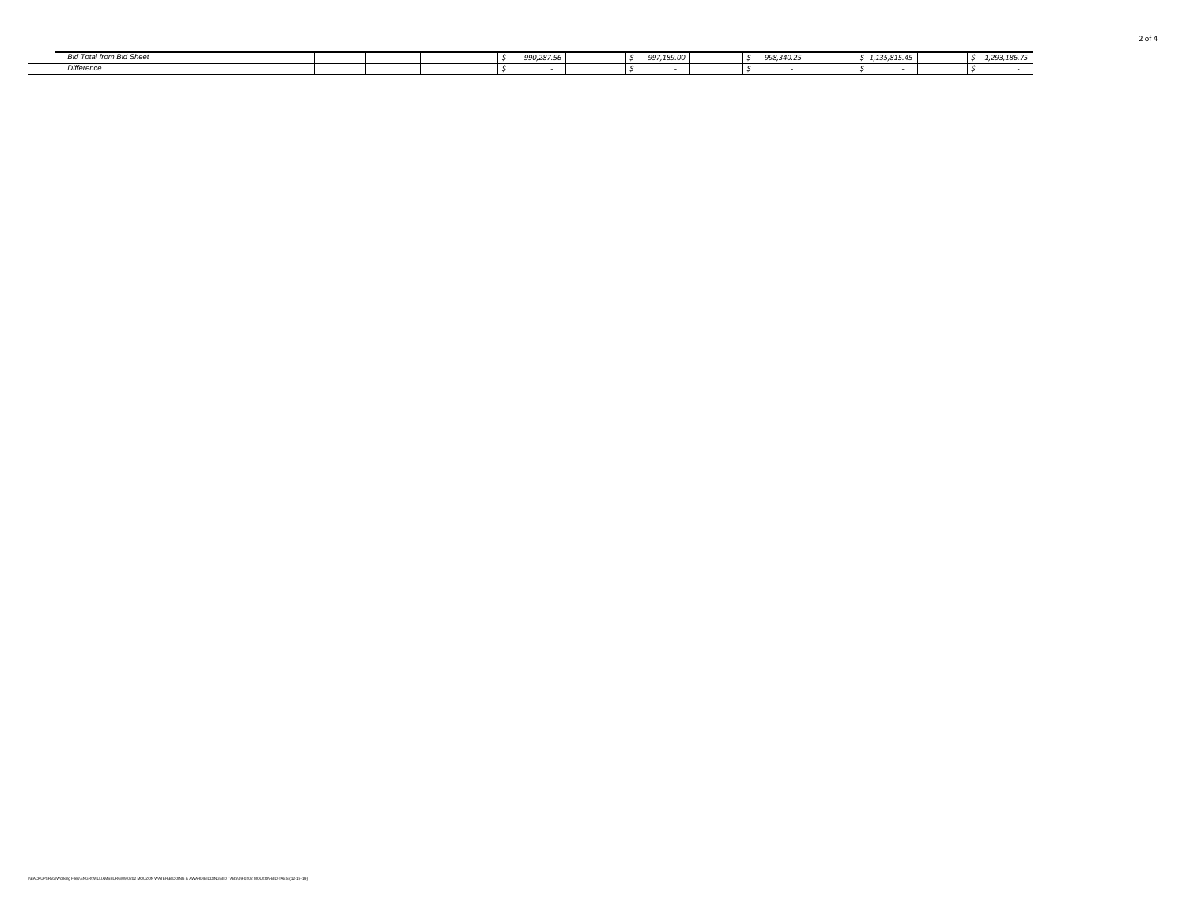| <b>Total from Bid Sheet</b><br><b>Rid</b><br>- 1012 | 990,287.56 | 997,189.00 | 998,340.25 | $-1125915A^{-1}$<br>1,135,815.45 | ,,,,,,, | $0.001$ and $75$<br>1 X F |
|-----------------------------------------------------|------------|------------|------------|----------------------------------|---------|---------------------------|
| Difference                                          |            |            |            |                                  |         |                           |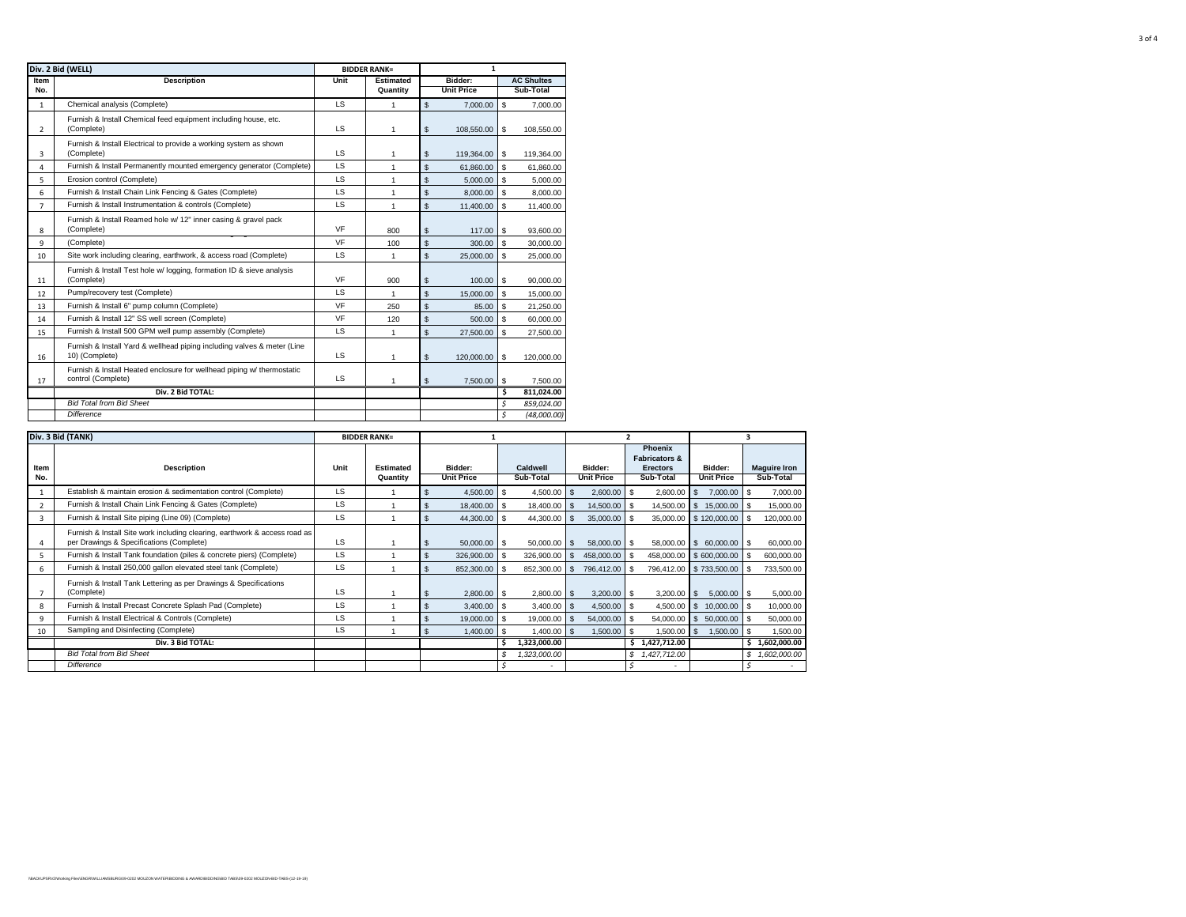| Div. 2 Bid (WELL) |                                                                                              |           | <b>BIDDER RANK=</b> | $\mathbf{1}$ |                   |                |                   |  |  |
|-------------------|----------------------------------------------------------------------------------------------|-----------|---------------------|--------------|-------------------|----------------|-------------------|--|--|
| Item              | <b>Description</b>                                                                           | Unit      | <b>Estimated</b>    |              | Bidder:           |                | <b>AC Shultes</b> |  |  |
| No.               |                                                                                              |           | Quantity            |              | <b>Unit Price</b> |                | Sub-Total         |  |  |
| $\mathbf{1}$      | Chemical analysis (Complete)                                                                 | <b>LS</b> | 1                   | \$           | 7.000.00          | \$             | 7.000.00          |  |  |
|                   | Furnish & Install Chemical feed equipment including house, etc.                              |           |                     |              |                   |                |                   |  |  |
| $\mathcal{P}$     | (Complete)                                                                                   | LS.       | 1                   | \$           | 108,550.00        | -S             | 108,550.00        |  |  |
| 3                 | Furnish & Install Electrical to provide a working system as shown<br>(Complete)              | <b>LS</b> | 1                   | \$           | 119,364.00        | \$             | 119,364.00        |  |  |
| 4                 | Furnish & Install Permanently mounted emergency generator (Complete)                         | <b>LS</b> | 1                   | \$           | 61.860.00         | \$.            | 61.860.00         |  |  |
| 5                 | Erosion control (Complete)                                                                   | <b>LS</b> | 1                   | \$           | 5.000.00          | \$             | 5.000.00          |  |  |
| 6                 | Furnish & Install Chain Link Fencing & Gates (Complete)                                      | LS        | $\mathbf{1}$        | \$           | 8.000.00          | \$             | 8.000.00          |  |  |
| $\overline{7}$    | Furnish & Install Instrumentation & controls (Complete)                                      | LS.       | 1                   | \$           | 11.400.00         | $\mathfrak{L}$ | 11.400.00         |  |  |
| 8                 | Furnish & Install Reamed hole w/ 12" inner casing & gravel pack<br>(Complete)                | VF        | 800                 | \$           | 117.00            | <b>S</b>       | 93,600.00         |  |  |
| 9                 | (Complete)                                                                                   | VF        | 100                 | \$           | 300.00            | $\mathbf{s}$   | 30,000.00         |  |  |
| 10                | Site work including clearing, earthwork, & access road (Complete)                            | <b>LS</b> | 1                   | \$           | 25,000.00         | \$             | 25,000.00         |  |  |
| 11                | Furnish & Install Test hole w/ logging, formation ID & sieve analysis<br>(Complete)          | VF        | 900                 | \$           | 100.00            | \$             | 90,000.00         |  |  |
| 12                | Pump/recovery test (Complete)                                                                | LS        | 1                   | \$           | 15,000.00         | \$             | 15,000.00         |  |  |
| 13                | Furnish & Install 6" pump column (Complete)                                                  | VF        | 250                 | \$           | 85.00             | $\mathbf{s}$   | 21,250.00         |  |  |
| 14                | Furnish & Install 12" SS well screen (Complete)                                              | VF        | 120                 | \$           | 500.00            | $\mathbf{s}$   | 60.000.00         |  |  |
| 15                | Furnish & Install 500 GPM well pump assembly (Complete)                                      | <b>LS</b> | $\mathbf{1}$        | \$           | 27,500.00         | \$             | 27,500.00         |  |  |
| 16                | Furnish & Install Yard & wellhead piping including valves & meter (Line<br>10) (Complete)    | <b>LS</b> | 1                   | \$           | 120,000,00        | \$             | 120.000.00        |  |  |
| 17                | Furnish & Install Heated enclosure for wellhead piping w/ thermostatic<br>control (Complete) | <b>LS</b> | 1                   | \$           | 7,500.00          | <b>S</b>       | 7.500.00          |  |  |
|                   | Div. 2 Bid TOTAL:                                                                            |           |                     |              |                   | Ś              | 811,024.00        |  |  |
|                   | <b>Bid Total from Bid Sheet</b>                                                              |           |                     |              |                   | \$             | 859,024.00        |  |  |
|                   | <b>Difference</b>                                                                            |           |                     |              |                   | Ś              | (48,000,00)       |  |  |

|                | Div. 3 Bid (TANK)                                                                                                      |      | <b>BIDDER RANK=</b>          |                              |                          |                    |                              |     |                                                                            |              |                              |    |                                  |
|----------------|------------------------------------------------------------------------------------------------------------------------|------|------------------------------|------------------------------|--------------------------|--------------------|------------------------------|-----|----------------------------------------------------------------------------|--------------|------------------------------|----|----------------------------------|
| Item<br>No.    | <b>Description</b>                                                                                                     | Unit | <b>Estimated</b><br>Quantity | Bidder:<br><b>Unit Price</b> | Caldwell<br>Sub-Total    |                    | Bidder:<br><b>Unit Price</b> |     | <b>Phoenix</b><br><b>Fabricators &amp;</b><br><b>Erectors</b><br>Sub-Total |              | Bidder:<br><b>Unit Price</b> |    | <b>Maguire Iron</b><br>Sub-Total |
|                | Establish & maintain erosion & sedimentation control (Complete)                                                        | LS   |                              | 4,500.00 \$                  | 4,500.00                 |                    | 2,600.00                     |     | 2,600.00                                                                   |              | 7,000.00 \$                  |    | 7,000.00                         |
| $\overline{2}$ | Furnish & Install Chain Link Fencing & Gates (Complete)                                                                | LS   |                              | 18,400.00 \$                 | 18,400.00                |                    | 14,500.00 \$                 |     | 14,500.00                                                                  | S.           | 15,000.00 \$                 |    | 15,000.00                        |
| $\overline{3}$ | Furnish & Install Site piping (Line 09) (Complete)                                                                     | LS   |                              | 44,300.00 \$                 | 44,300.00                |                    | 35,000.00 \$                 |     | 35,000.00 \$120,000.00                                                     |              |                              |    | 120,000.00                       |
|                | Furnish & Install Site work including clearing, earthwork & access road as<br>per Drawings & Specifications (Complete) | LS   |                              | $50,000.00$ \$               | 50,000.00                |                    | 58,000.00 \$                 |     | 58,000.00 \$ 60,000.00 \$                                                  |              |                              |    | 60,000.00                        |
| 5              | Furnish & Install Tank foundation (piles & concrete piers) (Complete)                                                  | LS   |                              | 326,900.00 \$                | 326,900.00               |                    | 458,000.00                   |     | 458,000.00 \$600,000.00                                                    |              |                              |    | 600,000.00                       |
| 6              | Furnish & Install 250,000 gallon elevated steel tank (Complete)                                                        | LS   |                              | 852,300.00 \$                | 852,300.00               | $\mathbf{\hat{s}}$ | 796,412.00                   |     | 796,412.00 \$733,500.00                                                    |              |                              |    | 733,500.00                       |
|                | Furnish & Install Tank Lettering as per Drawings & Specifications<br>(Complete)                                        | LS   |                              | 2,800.00 \$                  | 2,800.00                 | $\blacksquare$     | $3,200.00$ \$                |     | 3,200.00                                                                   | $\mathbf{s}$ | $5,000.00$ \$                |    | 5,000.00                         |
| 8              | Furnish & Install Precast Concrete Splash Pad (Complete)                                                               | LS   |                              | $3,400.00$ \$                | 3,400.00                 |                    | 4,500.00 \$                  |     | 4,500.00                                                                   | $\mathbb{S}$ | 10,000.00 \$                 |    | 10,000.00                        |
| 9              | Furnish & Install Electrical & Controls (Complete)                                                                     | LS   |                              | 19,000.00 \$                 | 19,000.00                |                    | 54,000.00                    |     | 54,000.00                                                                  | $\mathbb{S}$ | 50,000.00                    | £. | 50,000.00                        |
| 10             | Sampling and Disinfecting (Complete)                                                                                   | LS   |                              | $1,400.00$ \$                | $1,400.00$ \$            |                    | 1,500.00                     | ∣\$ | $1,500.00$ \$                                                              |              | $1,500.00$ \$                |    | 1,500.00                         |
|                | Div. 3 Bid TOTAL:                                                                                                      |      |                              |                              | 1,323,000.00             |                    |                              |     | \$1,427,712.00                                                             |              |                              |    | \$1,602,000.00                   |
|                | <b>Bid Total from Bid Sheet</b>                                                                                        |      |                              |                              | 1,323,000.00             |                    |                              |     | 1,427,712.00                                                               |              |                              |    | 1,602,000.00                     |
|                | Difference                                                                                                             |      |                              |                              | $\overline{\phantom{0}}$ |                    |                              |     |                                                                            |              |                              |    |                                  |